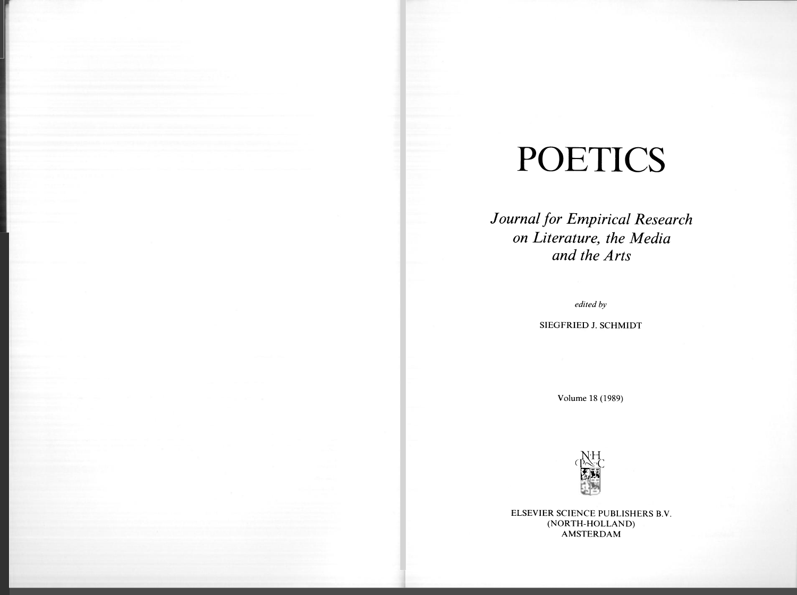# POETICS

*Journal for Empirical Research on Literature, the Media and the Arts* 

*edited by* 

SIEGFRIED J. SCHMIDT

Volume 18 (1989)



ELSEVIER SCIENCE PUBLISHERS B.V. (NORTH-HOLLAND) AMSTERDAM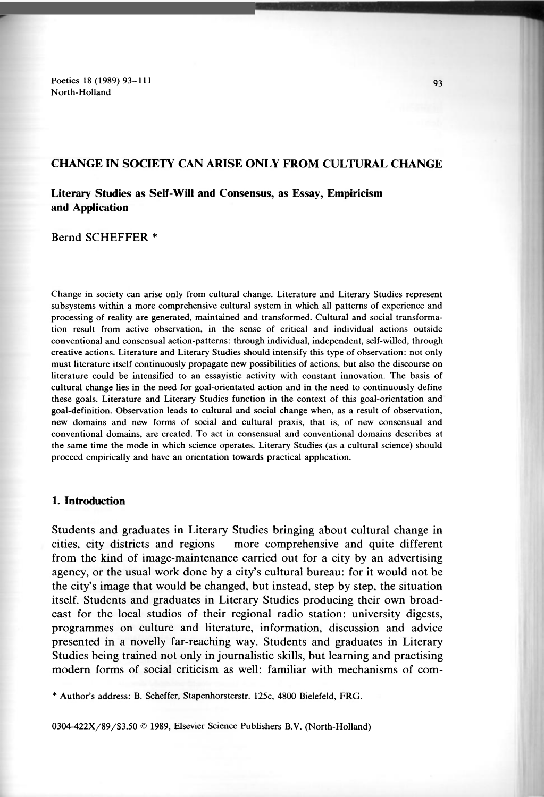**Poetics 18 (1989) 93-111 North-Holland** 

# **CHANGE IN SOCIETY CAN ARISE ONLY FROM CULTURAL CHANGE**

# **Literary Studies as Self-Will and Consensus, as Essay, Empiricism and Application**

## Bernd SCHEFFER \*

**Change in society can arise only from cultural change. Literature and Literary Studies represent subsystems within a more comprehensive cultural system in which all patterns of experience and processing of reality are generated, maintained and transformed. Cultural and social transformation result from active observation, in the sense of critical and individual actions outside conventional and consensual action-patterns: through individual, independent, self-willed, through creative actions. Literature and Literary Studies should intensify this type of observation: not only must literature itself continuously propagate new possibilities of actions, but also the discourse on literature could be intensified to an essayistic activity with constant innovation. The basis of cultural change lies in the need for goal-orientated action and in the need to continuously define these goals. Literature and Literary Studies function in the context of this goal-orientation and goal-definition. Observation leads to cultural and social change when, as a result of observation, new domains and new forms of social and cultural praxis, that is, of new consensual and conventional domains, are created. To act in consensual and conventional domains describes at the same time the mode in which science operates. Literary Studies (as a cultural science) should proceed empirically and have an orientation towards practical application.** 

# **1. Introduction**

Students and graduates in Literary Studies bringing about cultural change in cities, city districts and regions - more comprehensive and quite different from the kind of image-maintenance carried out for a city by an advertising agency, or the usual work done by a city's cultural bureau: for it would not be the city's image that would be changed, but instead, step by step, the situation itself. Students and graduates in Literary Studies producing their own broadcast for the local studios of their regional radio station: university digests, programmes on culture and literature, information, discussion and advice presented in a novelly far-reaching way. Students and graduates in Literary Studies being trained not only in journalistic skills, but learning and practising modern forms of social criticism as well: familiar with mechanisms of com-

**\* Author's address: B. Scheffer, Stapenhorsterstr. 125c, 4800 Bielefeld, FRG .** 

**0304-422X/89/\$3.50 © 1989, Elsevier Science Publishers B.V. (North-Holland)**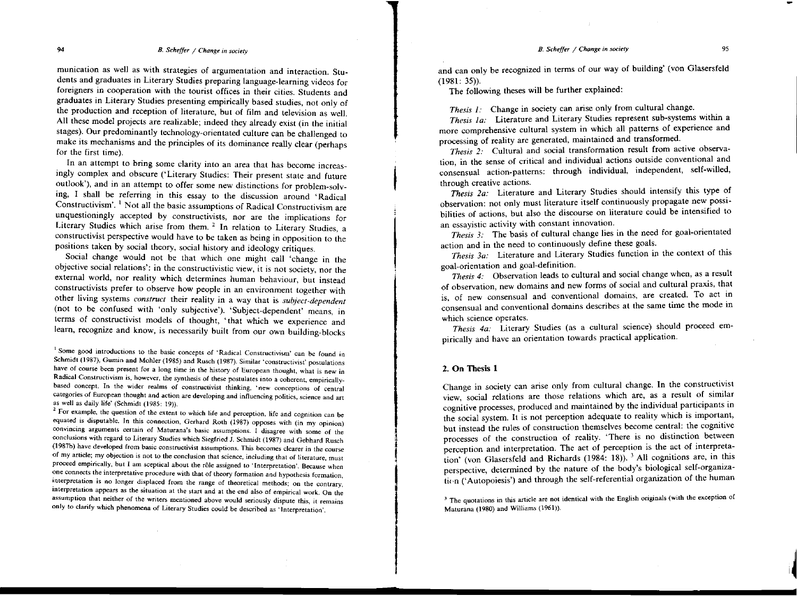## 94 *B. Scheffer / Change in society*

munication as well as with strategies of argumentation and interaction. Students and graduates in Literary Studies preparing language-learning videos for foreigners in cooperation with the tourist offices in their cities. Students and graduates in Literary Studies presenting empirically based studies, not only of the production and reception of literature, but of film and television as well. All these model projects are realizable; indeed they already exist (in the initial stages). Our predominantly technology-orientated culture can be challenged to make its mechanisms and the principles of its dominance really clear (perhaps for the first time).

In an attempt to bring some clarity into an area that has become increasingly complex and obscure ('Literary Studies: Their present state and future outlook'), and in an attempt to offer some new distinctions for problem-solving, I shall be referring in this essay to the discussion around 'Radical Constructivism'. <sup>1</sup> Not all the basic assumptions of Radical Constructivism are unquestioningly accepted by constructivists, nor are the implications for Literary Studies which arise from them. <sup>2</sup> In relation to Literary Studies, a constructivist perspective would have to be taken as being in opposition to the positions taken by social theory, social history and ideology critiques.

Social change would not be that which one might call 'change in the objective social relations': in the constructivistic view, it is not society, nor the external world, nor reality which determines human behaviour, but instead constructivists prefer to observe how people in an environment together with other living systems *construct* their reality in a way that is *subject-dependent*  (not to be confused with 'only subjective'). 'Subject-dependent' means, in terms of constructivist models of thought, 'that which we experience and learn, recognize and know, is necessarily built from our own building-blocks

**2 For example, the question of the extent to which life and perception, life and cognition can be equated is disputable. In this connection, Gerhard Roth (1987) opposes with (in my opinion) convincing arguments certain of Maturana's basic assumptions. I disagree with some of the conclusions with regard to Literary Studies which Siegfried J. Schmidt (1987) and Gebhard Rusch (1987b) have developed from basic constructivist assumptions. This becomes clearer in the course of my article; my objection is not to the conclusion that science, including that of literature, must**  proceed empirically, but I am sceptical about the rôle assigned to 'Interpretation'. Because when **one connects the interpretative procedure with that of theory formation and hypothesis formation, interpretation is no longer displaced from the range of theoretical methods; on the contrary, interpretation appears as the situation at the start and at the end also of empirical work. On the assumption that neither of the writers mentioned above would seriously dispute this, it remains only to clarify which phenomena of Literary Studies could be described as 'Interpretation'.** 

and can only be recognized in terms of our way of building' (von Glasersfeld (1981: 35)).

The following theses will be further explained:

*Thesis 1:* Change in society can arise only from cultural change.

*Thesis la:* Literature and Literary Studies represent sub-systems within a more comprehensive cultural system in which all patterns of experience and processing of reality are generated, maintained and transformed.

*Thesis 2:* Cultural and social transformation result from active observation, in the sense of critical and individual actions outside conventional and consensual action-patterns: through individual, independent, self-willed, through creative actions.

*Thesis 2a:* Literature and Literary Studies should intensify this type of observation: not only must literature itself continuously propagate new possibilities of actions, but also the discourse on literature could be intensified to an essayistic activity with constant innovation.

*Thesis 3:* The basis of cultural change lies in the need for goal-orientated action and in the need to continuously define these goals.

*Thesis 3a:* Literature and Literary Studies function in the context of this goal-orientation and goal-definition.

*Thesis 4:* Observation leads to cultural and social change when, as a result of observation, new domains and new forms of social and cultural praxis, that is, of new consensual and conventional domains, are created. To act in consensual and conventional domains describes at the same time the mode in which science operates.

*Thesis 4a:* Literary Studies (as a cultural science) should proceed empirically and have an orientation towards practical application.

## **2. On Thesis 1**

Change in society can arise only from cultural change. In the constructivist view, social relations are those relations which are, as a result of similar cognitive processes, produced and maintained by the individual participants in the social system. It is not perception adequate to reality which is important, but instead the rules of construction themselves become central: the cognitive processes of the construction of reality. 'There is no distinction between perception and interpretation. The act of perception is the act of interpreta- $\tilde{t}$ <sub>tion</sub>' (von Glasersfeld and Richards (1984: 18)).<sup>3</sup> All cognitions are, in this perspective, determined by the nature of the body's biological self-organization ('Autopoiesis') and through the self-referential organization of the human

**3 The quotations in this article are not identical with the English originals (with the exception of Maturana (1980) and Williams (1961)).** 

**<sup>1</sup> Some good introductions to the basic concepts of 'Radical Constructivism' can be found in Schmidt (1987), Gumin and Mohler (1985) and Rusch (1987). Similar 'constructivist' postulations have of course been present for a long time in the history of European thought, what is new in Radical Constructivism is, however, the synthesis of these postulates into a coherent, empiricallybased concept. In the wider realms of constructivist thinking, 'new conceptions of central categories of European thought and action are developing and influencing politics, science and art as well as daily life' (Schmidt (1985: 19)).**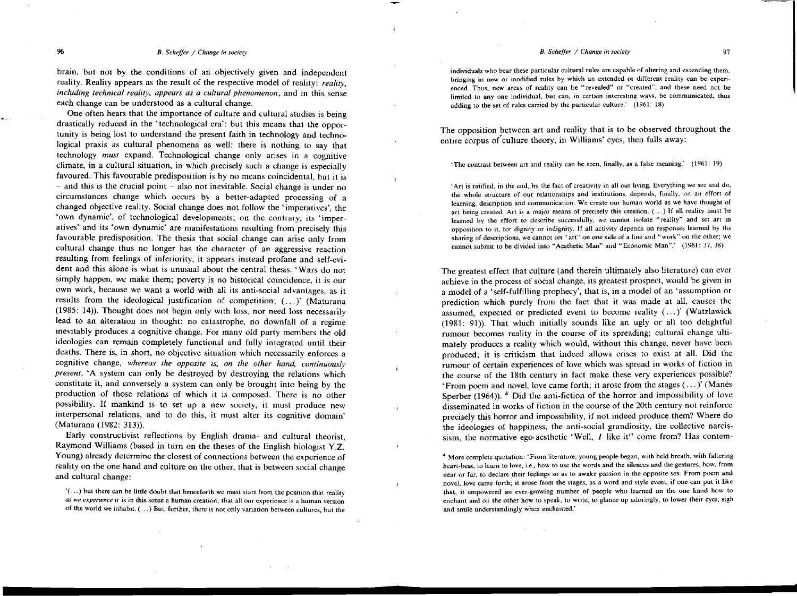### 96 *B. Scheffer / Change in society*

brain, but not by the conditions of an objectively given and independent reality. Reality appears as the result of the respective model of reality: *reality, including technical reality, appears as a cultural phenomenon,* and in this sense each change can be understood as a cultural change.

One often hears that the importance of culture and cultural studies is being drastically reduced in the 'technological era': but this means that the opportunity is being lost to understand the present faith in technology and technological praxis as cultural phenomena as well: there is nothing to say that technology *must* expand. Technological change only arises in a cognitive climate, in a cultural situation, in which precisely such a change is especially favoured. This favourable predisposition is by no means coincidental, but it is - and this is the crucial point - also not inevitable. Social change is under no circumstances change which occurs by a better-adapted processing of a changed objective reality. Social change does not follow the 'imperatives', the 'own dynamic', of technological developments; on the contrary, its 'imperatives' and its 'own dynamic' are manifestations resulting from precisely this favourable predisposition. The thesis that social change can arise only from cultural change thus no longer has the character of an aggressive reaction resulting from feelings of inferiority, it appears instead profane and self-evident and this alone is what is unusual about the central thesis. 'Wars do not simply happen, we make them; poverty is no historical coincidence, it is our own work, because we want a world with all its anti-social advantages, as it results from the ideological justification of competition; (...)' (Maturana (1985: 14)). Thought does not begin only with loss, nor need loss necessarily lead to an alteration in thought: no catastrophe, no downfall of a regime inevitably produces a cognitive change. For many old party members the old ideologies can remain completely functional and fully integrated until their deaths. There is, in short, no objective situation which necessarily enforces a cognitive change, *whereas the opposite is, on the other hand, continuously present.* 'A system can only be destroyed by destroying the relations which constitute it, and conversely a system can only be brought into being by the production of those relations of which it is composed. There is no other possibility. If mankind is to set up a new society, it must produce new interpersonal relations, and to do this, it must alter its cognitive domain' (Maturana (1982: 313)).

Early constructivist reflections by English drama- and cultural theorist, Raymond Williams (based in turn on the theses of the English biologist Y.Z. Young) already determine the closest of connections between the experience of reality on the one hand and culture on the other, that is between social change and cultural change:

**'(...) but there can be little doubt that henceforth we must start from the position that reality**  *as we experience it* **is in this sense a human creation; that all our experience is a human version of the world we inhabit. (...) But, further, there is not only variation between cultures, but the**  **individuals who bear these particular cultural rules are capable of altering and extending them, bringing in new or modified rules by which an extended or different reality can be experienced. Thus, new areas of reality can be "revealed" or "created", and these need not be limited to any one individual, but can, in certain interesting ways, be communicated, thus adding to the set of rules carried by the particular culture.' (1961: 18)** 

The opposition between art and reality that is to be observed throughout the entire corpus of culture theory, in Williams' eyes, then falls away:

**'The contrast between art and reality can be seen, finally, as a false meaning.' (1961: 19)** 

**'Art is ratified, in the end, by the fact of creativity in all our living. Everything we see and do, the whole structure of our relationships and institutions, depends, finally, on an effort of learning, description and communication. We create our human world as we have thought of art being created. Art is a major means of precisely this creation. (...) If all reality must be**  learned by the effort to describe successfully, we cannot isolate "reality" and set art in **opposition to it, for dignity or indignity. If all activity depends on responses learned by the sharing of descriptions, we cannot set "art" on one side of a line and "work" on the other; we cannot submit to be divided into "Aesthetic Man" and "Economic Man".' (1961: 37, 38)** 

The greatest effect that culture (and therein ultimately also literature) can ever achieve in the process of social change, its greatest prospect, would be given in a model of a 'self-fulfilling prophecy', that is, in a model of an 'assumption or prediction which purely from the fact that it was made at all, causes the assumed, expected or predicted event to become reality (...)' (Watzlawick (1981: 91)). That which initially sounds like an ugly or all too delightful rumour becomes reality in the course of its spreading; cultural change ultimately produces a reality which would, without this change, never have been produced; it is criticism that indeed allows crises to exist at all. Did the rumour of certain experiences of love which was spread in works of fiction in the course of the 18th century in fact make these very experiences possible? 'From poem and novel, love came forth; it arose from the stages (...) ' (Manes Sperber (1964)).  $4$  Did the anti-fiction of the horror and impossibility of love disseminated in works of fiction in the course of the 20th century not reinforce precisely this horror and impossibility, if not indeed produce them? Where do the ideologies of happiness, the anti-social grandiosity, the collective narcissism, the normative ego-aesthetic 'Well,  $I$  like it!' come from? Has contem-

**4 More complete quotation: 'From literature, young people began, with held breath, with faltering heart-beat, to learn to love, i.e., how to use the words and the silences and the gestures, how, from near or far, to declare their feelings so as to awake passion in the opposite sex. From poem and novel, love came forth; it arose from the stages, as a word and style event, if one can put it like that, it empowered an ever-growing number of people who learned on the one hand how to enchant and on the other how to speak, to write, to glance up adoringly, to lower their eyes, sigh**  and smile understandingly when enchanted.'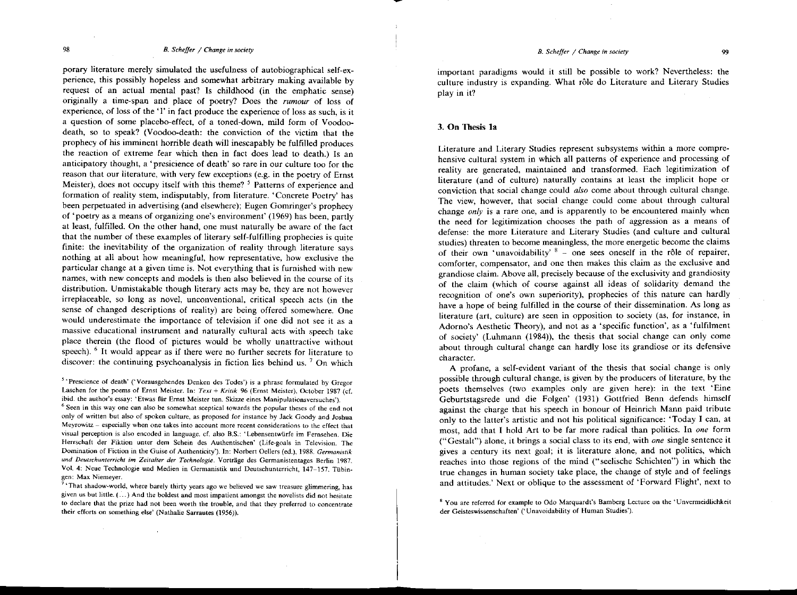porary literature merely simulated the usefulness of autobiographical self-experience, this possibly hopeless and somewhat arbitrary making available by request of an actual mental past? Is childhood (in the emphatic sense) originally a time-span and place of poetry? Does the *rumour* of loss of experience, of loss of the 'I' in fact produce the experience of loss as such, is it a question of some placebo-effect, of a toned-down, mild form of Voodoodeath, so to speak? (Voodoo-death: the conviction of the victim that the prophecy of his imminent horrible death will inescapably be fulfilled produces the reaction of extreme fear which then in fact does lead to death.) Is an anticipatory thought, a ' presicience of death' so rare in our culture too for the reason that our literature, with very few exceptions (e.g. in the poetry of Ernst Meister), does not occupy itself with this theme? <sup>5</sup> Patterns of experience and formation of reality stem, indisputably, from literature. 'Concrete Poetry' has been perpetuated in advertising (and elsewhere); Eugen Gomringer's prophecy of 'poetry as a means of organizing one's environment' (1969) has been, partly at least, fulfilled. On the other hand, one must naturally be aware of the fact that the number of these examples of literary self-fulfilling prophecies is quite finite: the inevitability of the organization of reality through literature says nothing at all about how meaningful, how representative, how exclusive the particular change at a given time is. Not everything that is furnished with new names, with new concepts and models is then also believed in the course of its distribution. Unmistakable though literary acts may be, they are not however irreplaceable, so long as novel, unconventional, critical speech acts (in the sense of changed descriptions of reality) are being offered somewhere. One would underestimate the importance of television if one did not see it as a massive educational instrument and naturally cultural acts with speech take place therein (the flood of pictures would be wholly unattractive without speech). <sup>6</sup> It would appear as if there were no further secrets for literature to discover: the continuing psychoanalysis in fiction lies behind us. <sup>7</sup> On which

**5 ' Prescience of death' (' Vorausgehendes Denken des Todes') is a phrase formulated by Gregor Laschen for the poems of Ernst Meister. In:** *Text + Kritik* **96 (Ernst Meister), October 1987 (cf. ibid, the author's essay: 'Etwas fiir Ernst Meister tun. Skizze eines Manipulationsversuches').** 

<sup>6</sup> Seen in this way one can also be somewhat sceptical towards the popular theses of the end not **only of written but also of spoken culture, as proposed for instance by Jack Goody and Joshua Meyrowitz - especially when one takes into account more recent considerations to the effect that visual perception is also encoded in language, cf. also B.S.: ' Lebensentwiirfe im Fernsehen. Die Herrschaft der Fiktion unter dem Schein des Authentischen' (Life-goals in Television. The Domination of Fiction in the Guise of Authenticity'). In: Norbert Oellers (ed.), 1988.** *Germanistik und Deutschunterricht im Zeitalter der Technologic* **Vortrage des Germanistentages Berlin 1987. Vol. 4: Neue Technologie und Medien in Germanistik und Deutschunterricht, 147-157. Tubingen: Max Niemeyer.** 

**7 ' That shadow-world, where barely thirty years ago we believed we saw treasure glimmering, has given us but little. (...) And the boldest and most impatient amongst the novelists did not hesitate to declare that the prize had not been worth the trouble, and that they preferred to concentrate their efforts on something else' (Nathalie Sarrautes (1956)).** 

important paradigms would it still be possible to work? Nevertheless: the culture industry is expanding. What rôle do Literature and Literary Studies play in it?

## **3. On Thesis la**

Literature and Literary Studies represent subsystems within a more comprehensive cultural system in which all patterns of experience and processing of reality are generated, maintained and transformed. Each legitimization of literature (and of culture) naturally contains at least the implicit hope or conviction that social change could *also* come about through cultural change. The view, however, that social change could come about through cultural change *only* is a rare one, and is apparently to be encountered mainly when the need for legitimization chooses the path of aggression as a means of defense: the more Literature and Literary Studies (and culture and cultural studies) threaten to become meaningless, the more energetic become the claims of their own 'unavoidability'  $8$  – one sees oneself in the rôle of repairer, comforter, compensator, and one then makes this claim as the exclusive and grandiose claim. Above all, precisely because of the exclusivity and grandiosity of the claim (which of course against all ideas of solidarity demand the recognition of one's own superiority), prophecies of this nature can hardly have a hope of being fulfilled in the course of their dissemination. As long as literature (art, culture) are seen in opposition to society (as, for instance, in Adorno's Aesthetic Theory), and not as a 'specific function', as a 'fulfilment of society' (Luhmann (1984)), the thesis that social change can only come about through cultural change can hardly lose its grandiose or its defensive character.

A profane, a self-evident variant of the thesis that social change is only possible through cultural change, is given by the producers of literature, by the poets themselves (two examples only are given here): in the text 'Eine Geburtstagsrede und die Folgen' (1931) Gottfried Benn defends himself against the charge that his speech in honour of Heinrich Mann paid tribute only to the latter's artistic and not his political significance: 'Today I can, at most, add that I hold Art to be far more radical than politics. In *one* form ("Gestalt") alone, it brings a social class to its end, with *one* single sentence it gives a century its next goal; it is literature alone, and not politics, which reaches into those regions of the mind ("seelische Schichten") in which the true changes in human society take place, the change of style and of feelings and attitudes.' Next or oblique to the assessment of 'Forward Flight', next to

**8 You are referred for example to Odo Marquardt's Bamberg Lecture on the 'Unvermeidlichkeit der Geisteswissenschaften' ('Unavoidability of Human Studies').**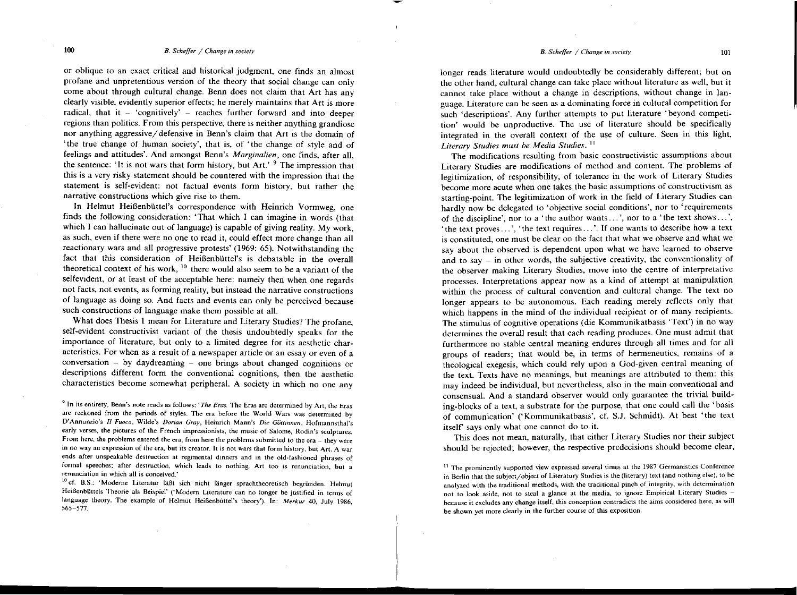or oblique to an exact critical and historical judgment, one finds an almost profane and unpretentious version of the theory that social change can only come about through cultural change. Benn does not claim that Art has any clearly visible, evidently superior effects; he merely maintains that Art is more radical, that it - 'cognitively' - reaches further forward and into deeper regions than politics. From this perspective, there is neither anything grandiose nor anything aggressive/defensive in Benn's claim that Art is the domain of 'the true change of human society', that is, of 'the change of style and of feelings and attitudes'. And amongst Benn's *Marginalien,* one finds, after all, the sentence: 'It is not wars that form history, but Art.' <sup>9</sup> The impression that this is a very risky statement should be countered with the impression that the statement is self-evident: not factual events form history, but rather the narrative constructions which give rise to them.

In Helmut Heißenbüttel's correspondence with Heinrich Vormweg, one finds the following consideration: 'That which I can imagine in words (that which I can hallucinate out of language) is capable of giving reality. My work, as such, even if there were no one to read it, could effect more change than all reactionary wars and all progressive protests' (1969: 65). Notwithstanding the fact that this consideration of Heißenbüttel's is debatable in the overall theoretical context of his work,  $10$  there would also seem to be a variant of the selfevident, or at least of the acceptable here: namely then when one regards not facts, not events, as forming reality, but instead the narrative constructions of language as doing so. And facts and events can only be perceived because such constructions of language make them possible at all.

What does Thesis 1 mean for Literature and Literary Studies? The profane, self-evident constructivist variant of the thesis undoubtedly speaks for the importance of literature, but only to a limited degree for its aesthetic characteristics. For when as a result of a newspaper article or an essay or even of a conversation  $-$  by daydreaming  $-$  one brings about changed cognitions or descriptions different form the conventional cognitions, then the aesthetic characteristics become somewhat peripheral. A society in which no one any

**9 In its entirety, Benn's note reads as follows:** *'The Eras.* **The Eras are determined by Art, the Eras are reckoned from the periods of styles. The era before the World Wars was determined by D'Annunzio's / /** *Fuoco,* **Wilde's** *Dorian Gray,* **Heinrich Mann's** *Die Gottinnen,* **Hofmannsthal's early verses, the pictures of the French impressionists, the music of Salome, Rodin's sculptures.**  From here, the problems entered the era, from here the problems submitted to the era - they were **in no way an expression of the era, but its creator. It is not wars that form history, but Art. A war ends after unspeakable destruction at regimental dinners and in the old-fashioned phrases of formal speeches; after destruction, which leads to nothing. Art too is renunciation, but a renunciation in which all is conceived.'** 

<sup>10</sup> cf. B.S.: 'Moderne Literatur läßt sich nicht länger sprachtheoretisch begründen. Helmut **HeiBenbiittels Theorie als Beispiel' ('Modern Literature can no longer be justified in terms of**  language theory. The example of Helmut Heißenbüttel's theory'). In: Merkur 40, July 1986, **565-577.** 

longer reads literature would undoubtedly be considerably different; but on the other hand, cultural change can take place without literature as well, but it cannot take place without a change in descriptions, without change in language. Literature can be seen as a dominating force in cultural competition for such 'descriptions'. Any further attempts to put literature 'beyond competition' would be unproductive. The use of literature should be specifically integrated in the overall context of the use of culture. Seen in this light, *Literary Studies must be Media Studies.<sup>11</sup>*

The modifications resulting from basic constructivistic assumptions about Literary Studies are modifications of method and content. The problems of legitimization, of responsibility, of tolerance in the work of Literary Studies become more acute when one takes the basic assumptions of constructivism as starting-point. The legitimization of work in the field of Literary Studies can hardly now be delegated to 'objective social conditions', nor to 'requirements of the discipline', nor to a ' the author wants...', nor to a ' the text shows...', 'the text proves...', 'the text requires...'. If one wants to describe how a text is constituted, one must be clear on the fact that what we observe and what we say about the observed is dependent upon what we have learned to observe and to say  $-$  in other words, the subjective creativity, the conventionality of the observer making Literary Studies, move into the centre of interpretative processes. Interpretations appear now as a kind of attempt at manipulation within the process of cultural convention and cultural change. The text no longer appears to be autonomous. Each reading merely reflects only that which happens in the mind of the individual recipient or of many recipients. The stimulus of cognitive operations (die Kommunikatbasis 'Text') in no way determines the overall result that each reading produces. One must admit that furthermore no stable central meaning endures through all times and for all groups of readers; that would be, in terms of hermeneutics, remains of a theological exegesis, which could rely upon a God-given central meaning of the text. Texts have no meanings, but meanings are attributed to them: this may indeed be individual, but nevertheless, also in the main conventional and consensual. And a standard observer would only guarantee the trivial building-blocks of a text, a substrate for the purpose, that one could call the 'basis of communication' ('Kommunikatbasis', cf. S.J. Schmidt). At best 'the text itself says only what one cannot do to it.

This does not mean, naturally, that either Literary Studies nor their subject should be rejected; however, the respective predecisions should become clear,

**<sup>1</sup> 1 The prominently supported view expressed several times at the 1987 Germanistics Conference in Berlin that the subject/object of Literatury Studies is the (literary) text (and nothing else), to be analyzed with the traditional methods, with the traditional pinch of integrity, with determination not to look aside, not to steal a glance at the media, to ignore Empirical Literary Studies because it excludes any change itself, this conception contradicts the aims considered here, as will be shown yet more clearly in the further course of this exposition.**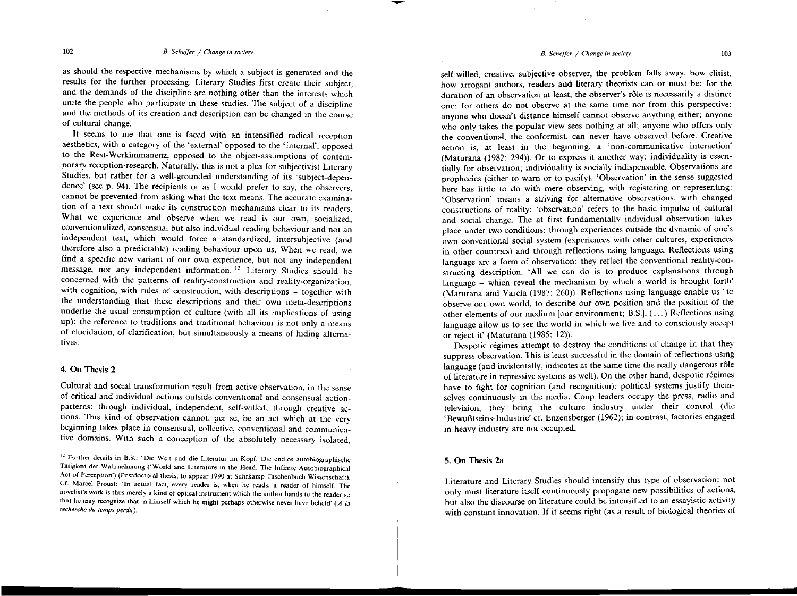as should the respective mechanisms by which a subject is generated and the results for the further processing. Literary Studies first create their subject, and the demands of the discipline are nothing other than the interests which unite the people who participate in these studies. The subject of a discipline and the methods of its creation and description can be changed in the course of cultural change.

It seems to me that one is faced with an intensified radical reception aesthetics, with a category of the 'external' opposed to the 'internal', opposed to the Rest-Werkimmanenz, opposed to the object-assumptions of contemporary reception-research. Naturally, this is not a plea for subjectivist Literary Studies, but rather for a well-grounded understanding of its 'subject-dependence' (see p. 94). The recipients or as I would prefer to say, the observers, cannot be prevented from asking what the text means. The accurate examination of a text should make its construction mechanisms clear to its readers. What we experience and observe when we read is our own, socialized, conventionalized, consensual but also individual reading behaviour and not an independent text, which would force a standardized, intersubjective (and therefore also a predictable) reading behaviour upon us. When we read, we find a specific new variant of our own experience, but not any independent message, nor any independent information.<sup>12</sup> Literary Studies should be concerned with the patterns of reality-construction and reality-organization, with cognition, with rules of construction, with descriptions - together with the understanding that these descriptions and their own meta-descriptions underlie the usual consumption of culture (with all its implications of using up): the reference to traditions and traditional behaviour is not only a means of elucidation, of clarification, but simultaneously a means of hiding alternatives.

## **4. On Thesis 2**

Cultural and social transformation result from active observation, in the sense of critical and individual actions outside conventional and consensual actionpatterns: through individual, independent, self-willed, through creative actions. This kind of observation cannot, per se, be an act which at the very beginning takes place in consensual, collective, conventional and communicative domains. With such a conception of the absolutely necessary isolated,

**1 2 Further details in B.S.: 'Die Welt und die Literatur im Kopf. Die endlos autobiographische Tatigkeit der Wahrnehmung ('World and Literature in the Head. The Infinite Autobiographical Act of Perception') (Postdoctoral thesis, to appear 1990 at Suhrkamp Taschenbuch Wissenschaft). Cf. Marcel Proust: 'In actual fact, every reader is, when he reads, a reader of himself. The novelist's work is thus merely a kind of optical instrument which the author hands to the reader so that he may recognize that in himself which he might perhaps otherwise never have beheld'** *{A la recherche du temps perdu).* 

 $\sim 10^{-1}$ 

 $\sim$ 

self-willed, creative, subjective observer, the problem falls away, how elitist, how arrogant authors, readers and literary theorists can or must be; for the duration of an observation at least, the observer's rôle is necessarily a distinct one; for others do not observe at the same time nor from this perspective; anyone who doesn't distance himself cannot observe anything either; anyone who only takes the popular view sees nothing at all; anyone who offers only the conventional, the conformist, can never have observed before. Creative action is, at least in the beginning, a 'non-communicative interaction' (Maturana (1982: 294)). Or to express it another way: individuality is essentially for observation; individuality is socially indispensable. Observations are prophecies (either to warn or to pacify). 'Observation' in the sense suggested here has little to do with mere observing, with registering or representing: 'Observation' means a striving for alternative observations, with changed constructions of reality; 'observation' refers to the basic impulse of cultural and social change. The at first fundamentally individual observation takes place under two conditions: through experiences outside the dynamic of one's own conventional social system (experiences with other cultures, experiences in other countries) and through reflections using language. Reflections using language are a form of observation: they reflect the conventional reality-constructing description. 'All we can do is to produce explanations through language - which reveal the mechanism by which a world is brought forth' (Maturana and Varela (1987: 260)). Reflections using language enable us 'to observe our own world, to describe our own position and the position of the other elements of our medium [our environment; B.S.]. (...) Reflections using language allow us to see the world in which we live and to consciously accept or reject it' (Maturana (1985: 12)).

Despotic régimes attempt to destroy the conditions of change in that they suppress observation. This is least successful in the domain of reflections using language (and incidentally, indicates at the same time the really dangerous rôle of literature in repressive systems as well). On the other hand, despotic regimes have to fight for cognition (and recognition): political systems justify themselves continuously in the media. Coup leaders occupy the press, radio and television, they bring the culture industry under their control (die 'BewuBtseins-Industrie' cf. Enzensberger (1962); in contrast, factories engaged in heavy industry are not occupied.

# **5. On Thesis 2a**

Literature and Literary Studies should intensify this type of observation: not only must literature itself continuously propagate new possibilities of actions, but also the discourse on literature could be intensified to an essayistic activity with constant innovation. If it seems right (as a result of biological theories of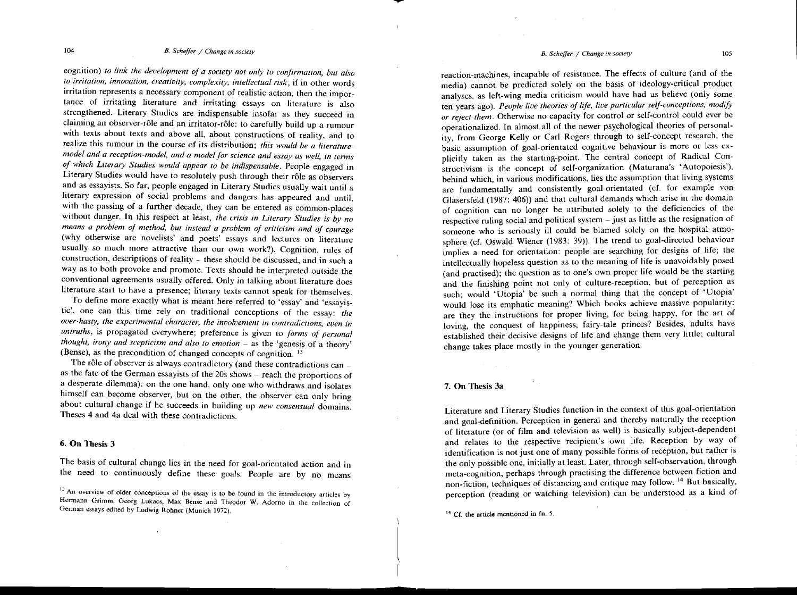cognition) *to link the development of a society not only to confirmation, but also to irritation, innovation, creativity, complexity, intellectual risk,* if in other words irritation represents a necessary component of realistic action, then the importance of irritating literature and irritating essays on literature is also strengthened. Literary Studies are indispensable insofar as they succeed in claiming an observer-rôle and an irritator-rôle: to carefully build up a rumour with texts about texts and above all, about constructions of reality, and to realize this rumour in the course of its distribution; *this would be a literaturemodel and a reception-model, and a model for science and essay as well, in terms of which Literary Studies would appear to be indispensable.* People engaged in Literary Studies would have to resolutely push through their rôle as observers and as essayists. So far, people engaged in Literary Studies usually wait until a literary expression of social problems and dangers has appeared and until, with the passing of a further decade, they can be entered as common-places without danger. In this respect at least, *the crisis in Literary Studies is by no means a problem of method, but instead a problem of criticism and of courage*  (why otherwise are novelists' and poets' essays and lectures on literature usually so much more attractive than our own work?). Cognition, rules of construction, descriptions of reality - these should be discussed, and in such a way as to both provoke and promote. Texts should be interpreted outside the conventional agreements usually offered. Only in talking about literature does literature start to have a presence; literary texts cannot speak for themselves.

To define more exactly what is meant here referred to 'essay' and 'essayistic', one can this time rely on traditional conceptions of the essay: *the over-hasty, the experimental character, the involvement in contradictions, even in untruths,* is propagated everywhere; preference is given to *forms of personal thought, irony and scepticism and also to emotion -* as the 'genesis of a theory' (Bense), as the precondition of changed concepts of cognition.  $1<sup>3</sup>$ 

The rôle of observer is always contradictory (and these contradictions can  $$ as the fate of the German essayists of the 20s shows - reach the proportions of a desperate dilemma): on the one hand, only one who withdraws and isolates himself can become observer, but on the other, the observer can only bring about cultural change if he succeeds in building up *new consensual* domains. Theses 4 and 4a deal with these contradictions.

# **6. On Thesis 3**

The basis of cultural change lies in the need for goal-orientated action and in the need to continuously define these goals. People are by no means

 $\sim 10^7$ 

reaction-machines, incapable of resistance. The effects of culture (and of the media) cannot be predicted solely on the basis of ideology-critical product analyses, as left-wing media criticism would have had us believe (only some ten years ago). *People live theories of life, live particular self-conceptions, modify or reject them.* Otherwise no capacity for control or self-control could ever be operationalized. In almost all of the newer psychological theories of personality, from George Kelly or Carl Rogers through to self-concept research, the basic assumption of goal-orientated cognitive behaviour is more or less explicitly taken as the starting-point. The central concept of Radical Constructivism is the concept of self-organization (Maturana's 'Autopoiesis'), behind which, in various modifications, lies the assumption that living systems are fundamentally and consistently goal-orientated (cf. for example von Glasersfeld (1987: 406)) and that cultural demands which arise in the domain of cognition can no longer be attributed solely to the deficiencies of the respective ruling social and political system - just as little as the resignation of someone who is seriously ill could be blamed solely on the hospital atmosphere (cf. Oswald Wiener (1983: 39)). The trend to goal-directed behaviour implies a need for orientation: people are searching for designs of life; the intellectually hopeless question as to the meaning of life is unavoidably posed (and practised); the question as to one's own proper life would be the starting and the finishing point not only of culture-reception, but of perception as such; would 'Utopia' be such a normal thing that the concept of 'Utopia' would lose its emphatic meaning? Which books achieve massive popularity: are they the instructions for proper living, for being happy, for the art of loving, the conquest of happiness, fairy-tale princes? Besides, adults have established their decisive designs of life and change them very little; cultural change takes place mostly in the younger generation.

## **7. On Thesis 3a**

Literature and Literary Studies function in the context of this goal-orientation and goal-definition. Perception in general and thereby naturally the reception of literature (or of film and television as well) is basically subject-dependent and relates to the respective recipient's own life. Reception by way of identification is not just one of many possible forms of reception, but rather is the only possible one, initially at least. Later, through self-observation, through meta-cognition, perhaps through practising the difference between fiction and non-fiction, techniques of distancing and critique may follow. <sup>14</sup> But basically, perception (reading or watching television) can be understood as a kind of

**1 4 Cf. the article mentioned in fn. 5.** 

**<sup>1</sup> 3 An overview of older conceptions of the essay is to be found in the introductory articles by Hermann Grimm, Georg Lukacs, Max Bense and Theodor W. Adorno in the collection of German essays edited by Ludwig Rohner (Munich 1972).**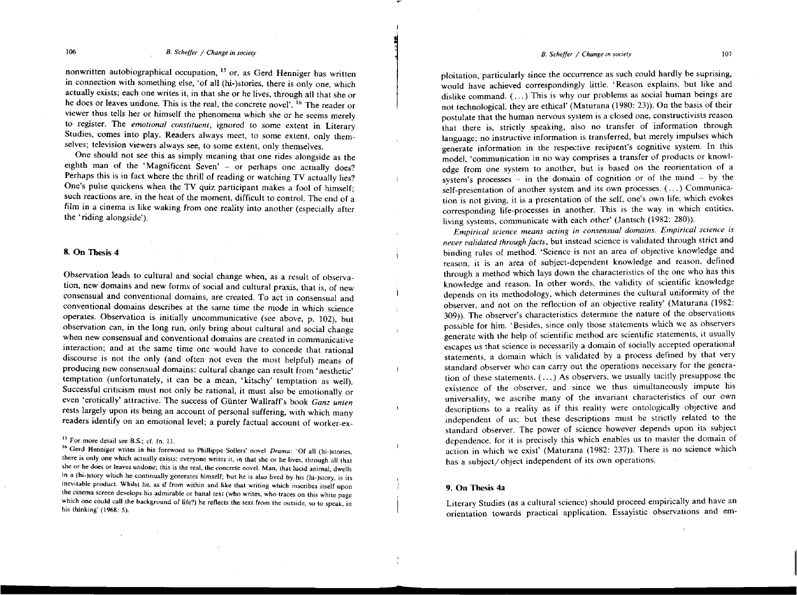nonwritten autobiographical occupation, <sup>15</sup> or, as Gerd Henniger has written in connection with something else, 'of all (hi-)stories, there is only one, which actually exists; each one writes it, in that she or he lives, through all that she or he does or leaves undone. This is the real, the concrete novel'. <sup>16</sup> The reader or viewer thus tells her or himself the phenomena which she or he seems merely to register. The *emotional constituent,* ignored to some extent in Literary Studies, comes into play. Readers always meet, to some extent, only themselves; television viewers always see, to some extent, only themselves.

One should not see this as simply meaning that one rides alongside as the eighth man of the 'Magnificent Seven' - or perhaps one actually does? Perhaps this is in fact where the thrill of reading or watching TV actually lies? One's pulse quickens when the TV quiz participant makes a fool of himself; such reactions are, in the heat of the moment, difficult to control. The end of a film in a cinema is like waking from one reality into another (especially after the 'riding alongside').

# **8. On Thesis 4**

Observation leads to cultural and social change when, as a result of observation, new domains and new forms of social and cultural praxis, that is, of new consensual and conventional domains, are created. To act in consensual and conventional domains describes at the same time the mode in which science operates. Observation is initially uncommunicative (see above, p. 102), but observation can, in the long run, only bring about cultural and social change when new consensual and conventional domains are created in communicative interaction; and at the same time one would have to concede that rational discourse is not the only (and often not even the most helpful) means of producing new consensual domains: cultural change can result from 'aesthetic' temptation (unfortunately, it can be a mean, 'kitschy' temptation as well). Successful criticism must not only be rational, it must also be emotionally or even 'erotically' attractive. The success of Gunter Wallraff's book *Ganz unten*  rests largely upon its being an account of personal suffering, with which many readers identify on an emotional level; a purely factual account of worker-ex-

 $\sim$ 

 $\sim 10^{-1}$ 

**1 6 Gerd Henniger writes in his foreword to Phillippe Sollers' novel** *Drama:* **'Of all (hi-)stories, there is only one which actually exists; everyone writes it, in that she or he lives, through all that she or he does or leaves undone; this is the real, the concrete novel. Man, that lucid animal, dwells in a (hi-)story which he continually generates himself; but he is also lived by his (hi-)story, is its inevitable product. Whilst he, as if from within and like that writing which inscribes itself upon the cinema screen develops his admirable or banal text (who writes, who traces on this white page which one could call the background of life?) he reflects the text from the outside, so to speak, in his thinking' (1968: 5).** 

ploitation, particularly since the occurrence as such could hardly be suprising, would have achieved correspondingly little. 'Reason explains, but like and dislike command. (...) This is why our problems as social human beings are not technological, they are ethical' (Maturana (1980: 23)). On the basis of their postulate that the human nervous system is a closed one, constructivists reason that there is, strictly speaking, also no transfer of information through language; no instructive information is transferred, but merely impulses which generate information in the respective recipient's cognitive system. In this model, 'communication in no way comprises a transfer of products or knowledge from one system to another, but is based on the reorientation of a system's processes - in the domain of cognition or of the mind - by the self-presentation of another system and its own processes. (...) Communication is not giving, it is a presentation of the self, one's own life, which evokes corresponding life-processes in another. This is the way in which entities, living systems, communicate with each other' (Jantsch (1982: 280)).

*Empirical science means acting in consensual domains. Empirical science is never validated through facts,* but instead science is validated through strict and binding rules of method. 'Science is not an area of objective knowledge and reason, it is an area of subject-dependent knowledge and reason, defined through a method which lays down the characteristics of the one who has this knowledge and reason. In other words, the validity of scientific knowledge depends on its methodology, which determines the cultural uniformity of the observer, and not on the reflection of an objective reality' (Maturana (1982: 309)). The observer's characteristics determine the nature of the observations possible for him. 'Besides, since only those statements which we as observers generate with the help of scientific method are scientific statements, it usually escapes us that science is necessarily a domain of socially accepted operational statements, a domain which is validated by a process defined by that very standard observer who can carry out the operations necessary for the generation of these statements. (...) As observers, we usually tacitly presuppose the existence of the observer, and since we thus simultaneously impute his universality, we ascribe many of the invariant characteristics of our own descriptions to a reality as if this reality were ontologically objective and independent of us; but these descriptions must be strictly related to the standard observer. The power of science however depends upon its subject dependence, for it is precisely this which enables us to master the domain of action in which we exist' (Maturana (1982: 237)). There is no science which has a subject/object independent of its own operations.

## **9. On Thesis 4a**

 $\bar{1}$ 

 $\mathbf{I}$ 

Literary Studies (as a cultural science) should proceed empirically and have an orientation towards practical application. Essayistic observations and em-

**<sup>1</sup> 5 For more detail see B.S.; cf. fn. 11.**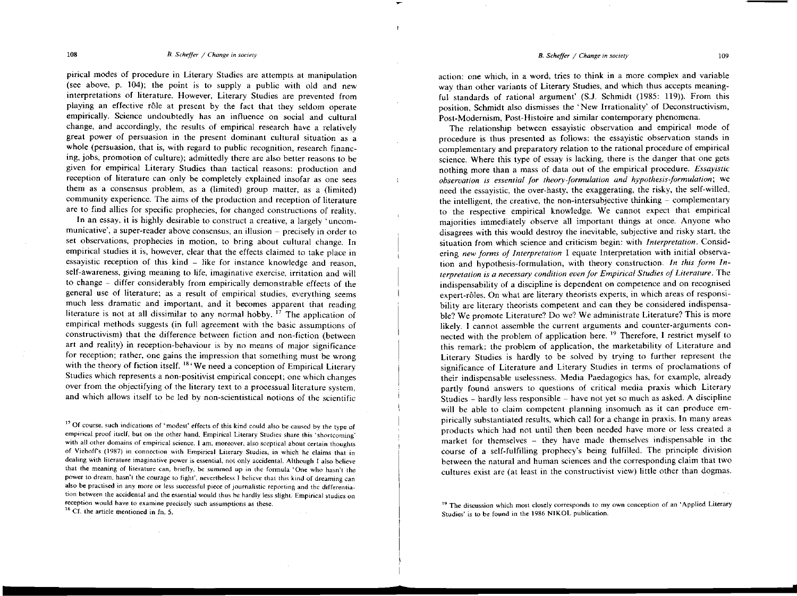pirical modes of procedure in Literary Studies are attempts at manipulation (see above, p. 104); the point is to supply a public with old and new interpretations of literature. However, Literary Studies are prevented from playing an effective rôle at present by the fact that they seldom operate empirically. Science undoubtedly has an influence on social and cultural change, and accordingly, the results of empirical research have a relatively great power of persuasion in the present dominant cultural situation as a whole (persuasion, that is, with regard to public recognition, research financing, jobs, promotion of culture); admittedly there are also better reasons to be given for empirical Literary Studies than tactical reasons: production and reception of literature can only be completely explained insofar as one sees them as a consensus problem, as a (limited) group matter, as a (limited) community experience. The aims of the production and reception of literature are to find allies for specific prophecies, for changed constructions of reality.

 $\pm$ 

In an essay, it is highly desirable to construct a creative, a largely ' uncommunicative', a super-reader above consensus, an illusion - precisely in order to set observations, prophecies in motion, to bring about cultural change. In empirical studies it is, however, clear that the effects claimed to take place in essayistic reception of this kind - like for instance knowledge and reason, self-awareness, giving meaning to life, imaginative exercise, irritation and will to change - differ considerably from empirically demonstrable effects of the general use of literature; as a result of empirical studies, everything seems much less dramatic and important, and it becomes apparent that reading literature is not at all dissimilar to any normal hobby.  $17$  The application of empirical methods suggests (in full agreement with the basic assumptions of constructivism) that the difference between fiction and non-fiction (between art and reality) in reception-behaviour is by no means of major significance for reception; rather, one gains the impression that something must be wrong with the theory of fiction itself.  $18 \cdot$  We need a conception of Empirical Literary Studies which represents a non-positivist empirical concept; one which changes over from the objectifying of the literary text to a processual literature system, and which allows itself to be led by non-scientistical notions of the scientific

<sup>17</sup> Of course, such indications of 'modest' effects of this kind could also be caused by the type of **empirical proof itself, but on the other hand, Empirical Literary Studies share this 'shortcoming' with all other domains of empirical science. I am, moreover, also sceptical about certain thoughts of Viehoffs (1987) in connection with Empirical Literary Studies, in which he claims that in dealing with literature imaginative power is essential, not only accidental. Although I also believe that the meaning of literature can, briefly, be summed up in the formula 'One who hasn't the power to dream, hasn't the courage to fight', nevertheless I believe that this kind of dreaming can also be practised in any more or less successful piece of journalistic reporting and the differentiation between the accidental and the essential would thus be hardly less slight. Empirical studies on reception would have to examine precisely such assumptions as these.** 

**1 8 Cf. the article mentioned in fn. 5.** 

action: one which, in a word, tries to think in a more complex and variable way than other variants of Literary Studies, and which thus accepts meaningful standards of rational argument' (S.J. Schmidt (1985: 119)). From this position, Schmidt also dismisses the 'New Irrationality' of Deconstructivism, Post-Modernism, Post-Histoire and similar contemporary phenomena.

The relationship between essayistic observation and empirical mode of procedure is thus presented as follows: the essayistic observation stands in complementary and preparatory relation to the rational procedure of empirical science. Where this type of essay is lacking, there is the danger that one gets nothing more than a mass of data out of the empirical procedure. *Essayistic observation is essential for theory-formulation and hypothesis-formulation;* we need the essayistic, the over-hasty, the exaggerating, the risky, the self-willed, the intelligent, the creative, the non-intersubjective thinking - complementary to the respective empirical knowledge. We cannot expect that empirical majorities immediately observe all important things at once. Anyone who disagrees with this would destroy the inevitable, subjective and risky start, the situation from which science and criticism begin: with *Interpretation.* Considering *new forms of Interpretation* I equate Interpretation with initial observation and hypothesis-formulation, with theory construction. *In this form Interpretation is a necessary condition even for Empirical Studies of Literature.* The indispensability of a discipline is dependent on competence and on recognised expert-rôles. On what are literary theorists experts, in which areas of responsibility are literary theorists competent and can they be considered indispensable? We promote Literature? Do we? We administrate Literature? This is more likely. I cannot assemble the current arguments and counter-arguments connected with the problem of application here. <sup>19</sup> Therefore, I restrict myself to this remark: the problem of application, the marketability of Literature and Literary Studies is hardly to be solved by trying to further represent the significance of Literature and Literary Studies in terms of proclamations of their indispensable uselessness. Media Paedagogics has, for example, already partly found answers to questions of critical media praxis which Literary Studies - hardly less responsible - have not yet so much as asked. A discipline will be able to claim competent planning insomuch as it can produce empirically substantiated results, which call for a change in praxis. In many areas products which had not until then been needed have more or less created a market for themselves - they have made themselves indispensable in the course of a self-fulfilling prophecy's being fulfilled. The principle division between the natural and human sciences and the corresponding claim that two cultures exist are (at least in the constructivist view) little other than dogmas.

<sup>19</sup> The discussion which most closely corresponds to my own conception of an 'Applied Literary Studies' is to be found in the 1986 NIKOL publication.